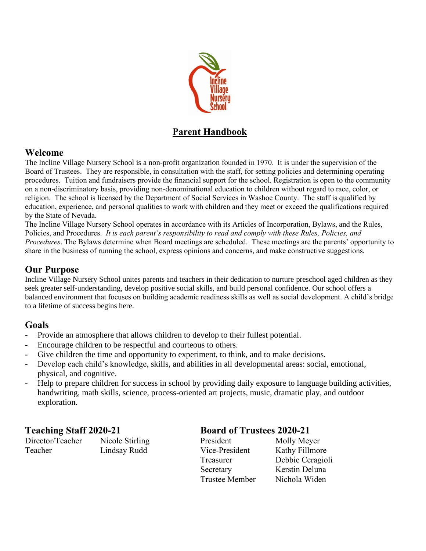

# **Parent Handbook**

#### **Welcome**

The Incline Village Nursery School is a non-profit organization founded in 1970. It is under the supervision of the Board of Trustees. They are responsible, in consultation with the staff, for setting policies and determining operating procedures. Tuition and fundraisers provide the financial support for the school. Registration is open to the community on a non-discriminatory basis, providing non-denominational education to children without regard to race, color, or religion. The school is licensed by the Department of Social Services in Washoe County. The staff is qualified by education, experience, and personal qualities to work with children and they meet or exceed the qualifications required by the State of Nevada.

The Incline Village Nursery School operates in accordance with its Articles of Incorporation, Bylaws, and the Rules, Policies, and Procedures. *It is each parent's responsibility to read and comply with these Rules, Policies, and Procedures*. The Bylaws determine when Board meetings are scheduled. These meetings are the parents' opportunity to share in the business of running the school, express opinions and concerns, and make constructive suggestions.

## **Our Purpose**

Incline Village Nursery School unites parents and teachers in their dedication to nurture preschool aged children as they seek greater self-understanding, develop positive social skills, and build personal confidence. Our school offers a balanced environment that focuses on building academic readiness skills as well as social development. A child's bridge to a lifetime of success begins here.

## **Goals**

- Provide an atmosphere that allows children to develop to their fullest potential.
- Encourage children to be respectful and courteous to others.
- Give children the time and opportunity to experiment, to think, and to make decisions.
- Develop each child's knowledge, skills, and abilities in all developmental areas: social, emotional, physical, and cognitive.
- Help to prepare children for success in school by providing daily exposure to language building activities, handwriting, math skills, science, process-oriented art projects, music, dramatic play, and outdoor exploration.

Director/Teacher Nicole Stirling P Teacher Lindsay Rudd

## **Teaching Staff 2020-21 Board of Trustees 2020-21**

| President      | Molly Meyer      |
|----------------|------------------|
| Vice-President | Kathy Fillmore   |
| Treasurer      | Debbie Ceragioli |
| Secretary      | Kerstin Deluna   |
| Trustee Member | Nichola Widen    |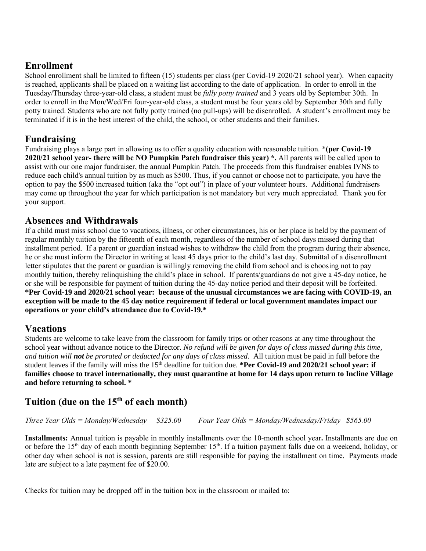## **Enrollment**

School enrollment shall be limited to fifteen (15) students per class (per Covid-19 2020/21 school year). When capacity is reached, applicants shall be placed on a waiting list according to the date of application. In order to enroll in the Tuesday/Thursday three-year-old class, a student must be *fully potty trained* and 3 years old by September 30th. In order to enroll in the Mon/Wed/Fri four-year-old class, a student must be four years old by September 30th and fully potty trained. Students who are not fully potty trained (no pull-ups) will be disenrolled. A student's enrollment may be terminated if it is in the best interest of the child, the school, or other students and their families.

# **Fundraising**

Fundraising plays a large part in allowing us to offer a quality education with reasonable tuition. \***(per Covid-19 2020/21 school year- there will be NO Pumpkin Patch fundraiser this year) \*.** All parents will be called upon to assist with our one major fundraiser, the annual Pumpkin Patch. The proceeds from this fundraiser enables IVNS to reduce each child's annual tuition by as much as \$500. Thus, if you cannot or choose not to participate, you have the option to pay the \$500 increased tuition (aka the "opt out") in place of your volunteer hours. Additional fundraisers may come up throughout the year for which participation is not mandatory but very much appreciated. Thank you for your support.

#### **Absences and Withdrawals**

If a child must miss school due to vacations, illness, or other circumstances, his or her place is held by the payment of regular monthly tuition by the fifteenth of each month, regardless of the number of school days missed during that installment period. If a parent or guardian instead wishes to withdraw the child from the program during their absence, he or she must inform the Director in writing at least 45 days prior to the child's last day. Submittal of a disenrollment letter stipulates that the parent or guardian is willingly removing the child from school and is choosing not to pay monthly tuition, thereby relinquishing the child's place in school. If parents/guardians do not give a 45-day notice, he or she will be responsible for payment of tuition during the 45-day notice period and their deposit will be forfeited. **\*Per Covid-19 and 2020/21 school year: because of the unusual circumstances we are facing with COVID-19, an exception will be made to the 45 day notice requirement if federal or local government mandates impact our operations or your child's attendance due to Covid-19.\***

## **Vacations**

Students are welcome to take leave from the classroom for family trips or other reasons at any time throughout the school year without advance notice to the Director. *No refund will be given for days of class missed during this time, and tuition will not be prorated or deducted for any days of class missed.* All tuition must be paid in full before the student leaves if the family will miss the 15th deadline for tuition due. **\*Per Covid-19 and 2020/21 school year: if families choose to travel internationally, they must quarantine at home for 14 days upon return to Incline Village and before returning to school. \***

# **Tuition (due on the 15th of each month)**

*Three Year Olds = Monday/Wednesday \$325.00 Four Year Olds = Monday/Wednesday/Friday \$565.00* 

**Installments:** Annual tuition is payable in monthly installments over the 10-month school year**.** Installments are due on or before the 15<sup>th</sup> day of each month beginning September 15<sup>th</sup>. If a tuition payment falls due on a weekend, holiday, or other day when school is not is session, parents are still responsible for paying the installment on time. Payments made late are subject to a late payment fee of \$20.00.

Checks for tuition may be dropped off in the tuition box in the classroom or mailed to: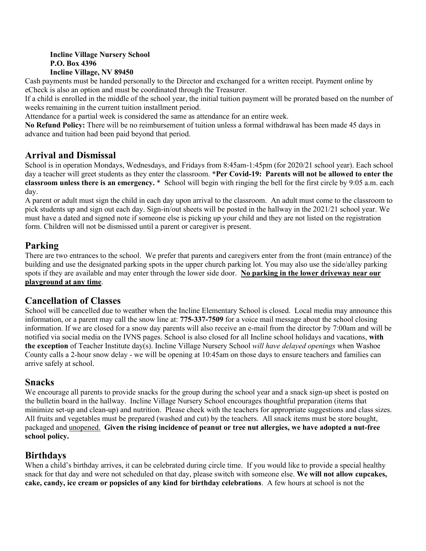#### **Incline Village Nursery School P.O. Box 4396 Incline Village, NV 89450**

Cash payments must be handed personally to the Director and exchanged for a written receipt. Payment online by eCheck is also an option and must be coordinated through the Treasurer.

If a child is enrolled in the middle of the school year, the initial tuition payment will be prorated based on the number of weeks remaining in the current tuition installment period.

Attendance for a partial week is considered the same as attendance for an entire week.

**No Refund Policy:** There will be no reimbursement of tuition unless a formal withdrawal has been made 45 days in advance and tuition had been paid beyond that period.

## **Arrival and Dismissal**

School is in operation Mondays, Wednesdays, and Fridays from 8:45am-1:45pm (for 2020/21 school year). Each school day a teacher will greet students as they enter the classroom. **\*Per Covid-19: Parents will not be allowed to enter the classroom unless there is an emergency.** \* School will begin with ringing the bell for the first circle by 9:05 a.m. each day.

A parent or adult must sign the child in each day upon arrival to the classroom. An adult must come to the classroom to pick students up and sign out each day. Sign-in/out sheets will be posted in the hallway in the 2021/21 school year. We must have a dated and signed note if someone else is picking up your child and they are not listed on the registration form. Children will not be dismissed until a parent or caregiver is present.

# **Parking**

There are two entrances to the school. We prefer that parents and caregivers enter from the front (main entrance) of the building and use the designated parking spots in the upper church parking lot. You may also use the side/alley parking spots if they are available and may enter through the lower side door. **No parking in the lower driveway near our playground at any time**.

## **Cancellation of Classes**

School will be cancelled due to weather when the Incline Elementary School is closed. Local media may announce this information, or a parent may call the snow line at: **775-337-7509** for a voice mail message about the school closing information. If we are closed for a snow day parents will also receive an e-mail from the director by 7:00am and will be notified via social media on the IVNS pages. School is also closed for all Incline school holidays and vacations, **with the exception** of Teacher Institute day(s). Incline Village Nursery School *will have delayed openings* when Washoe County calls a 2-hour snow delay - we will be opening at 10:45am on those days to ensure teachers and families can arrive safely at school.

## **Snacks**

We encourage all parents to provide snacks for the group during the school year and a snack sign-up sheet is posted on the bulletin board in the hallway. Incline Village Nursery School encourages thoughtful preparation (items that minimize set-up and clean-up) and nutrition. Please check with the teachers for appropriate suggestions and class sizes. All fruits and vegetables must be prepared (washed and cut) by the teachers. All snack items must be store bought, packaged and unopened. **Given the rising incidence of peanut or tree nut allergies, we have adopted a nut-free school policy.**

# **Birthdays**

When a child's birthday arrives, it can be celebrated during circle time. If you would like to provide a special healthy snack for that day and were not scheduled on that day, please switch with someone else. **We will not allow cupcakes, cake, candy, ice cream or popsicles of any kind for birthday celebrations**. A few hours at school is not the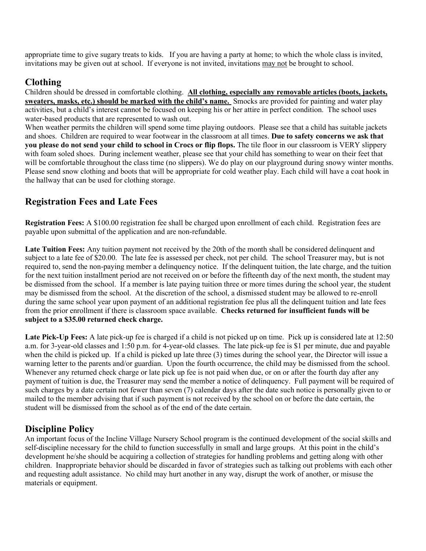appropriate time to give sugary treats to kids. If you are having a party at home; to which the whole class is invited, invitations may be given out at school. If everyone is not invited, invitations may not be brought to school.

## **Clothing**

Children should be dressed in comfortable clothing. **All clothing, especially any removable articles (boots, jackets, sweaters, masks, etc.) should be marked with the child's name.** Smocks are provided for painting and water play activities, but a child's interest cannot be focused on keeping his or her attire in perfect condition. The school uses water-based products that are represented to wash out.

When weather permits the children will spend some time playing outdoors. Please see that a child has suitable jackets and shoes. Children are required to wear footwear in the classroom at all times. **Due to safety concerns we ask that you please do not send your child to school in Crocs or flip flops.** The tile floor in our classroom is VERY slippery with foam soled shoes. During inclement weather, please see that your child has something to wear on their feet that will be comfortable throughout the class time (no slippers). We do play on our playground during snowy winter months. Please send snow clothing and boots that will be appropriate for cold weather play. Each child will have a coat hook in the hallway that can be used for clothing storage.

# **Registration Fees and Late Fees**

**Registration Fees:** A \$100.00 registration fee shall be charged upon enrollment of each child. Registration fees are payable upon submittal of the application and are non-refundable.

**Late Tuition Fees:** Any tuition payment not received by the 20th of the month shall be considered delinquent and subject to a late fee of \$20.00. The late fee is assessed per check, not per child. The school Treasurer may, but is not required to, send the non-paying member a delinquency notice. If the delinquent tuition, the late charge, and the tuition for the next tuition installment period are not received on or before the fifteenth day of the next month, the student may be dismissed from the school. If a member is late paying tuition three or more times during the school year, the student may be dismissed from the school. At the discretion of the school, a dismissed student may be allowed to re-enroll during the same school year upon payment of an additional registration fee plus all the delinquent tuition and late fees from the prior enrollment if there is classroom space available. **Checks returned for insufficient funds will be subject to a \$35.00 returned check charge.** 

**Late Pick-Up Fees:** A late pick-up fee is charged if a child is not picked up on time. Pick up is considered late at 12:50 a.m. for 3-year-old classes and 1:50 p.m. for 4-year-old classes. The late pick-up fee is \$1 per minute, due and payable when the child is picked up. If a child is picked up late three (3) times during the school year, the Director will issue a warning letter to the parents and/or guardian. Upon the fourth occurrence, the child may be dismissed from the school. Whenever any returned check charge or late pick up fee is not paid when due, or on or after the fourth day after any payment of tuition is due, the Treasurer may send the member a notice of delinquency. Full payment will be required of such charges by a date certain not fewer than seven (7) calendar days after the date such notice is personally given to or mailed to the member advising that if such payment is not received by the school on or before the date certain, the student will be dismissed from the school as of the end of the date certain.

# **Discipline Policy**

An important focus of the Incline Village Nursery School program is the continued development of the social skills and self-discipline necessary for the child to function successfully in small and large groups. At this point in the child's development he/she should be acquiring a collection of strategies for handling problems and getting along with other children. Inappropriate behavior should be discarded in favor of strategies such as talking out problems with each other and requesting adult assistance. No child may hurt another in any way, disrupt the work of another, or misuse the materials or equipment.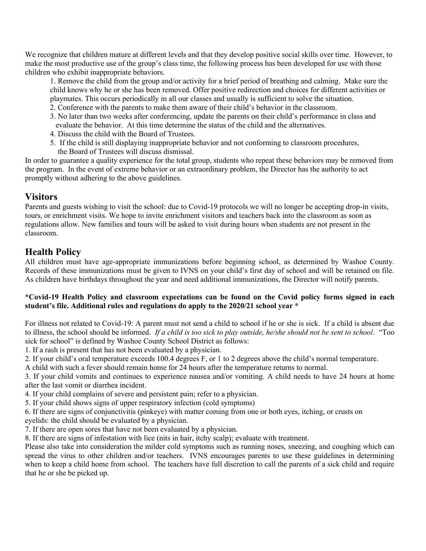We recognize that children mature at different levels and that they develop positive social skills over time. However, to make the most productive use of the group's class time, the following process has been developed for use with those children who exhibit inappropriate behaviors.

1. Remove the child from the group and/or activity for a brief period of breathing and calming. Make sure the child knows why he or she has been removed. Offer positive redirection and choices for different activities or playmates. This occurs periodically in all our classes and usually is sufficient to solve the situation.

- 2. Conference with the parents to make them aware of their child's behavior in the classroom.
- 3. No later than two weeks after conferencing, update the parents on their child's performance in class and evaluate the behavior. At this time determine the status of the child and the alternatives.
- 4. Discuss the child with the Board of Trustees.
- 5. If the child is still displaying inappropriate behavior and not conforming to classroom procedures, the Board of Trustees will discuss dismissal.

In order to guarantee a quality experience for the total group, students who repeat these behaviors may be removed from the program. In the event of extreme behavior or an extraordinary problem, the Director has the authority to act promptly without adhering to the above guidelines.

#### **Visitors**

Parents and guests wishing to visit the school: due to Covid-19 protocols we will no longer be accepting drop-in visits, tours, or enrichment visits. We hope to invite enrichment visitors and teachers back into the classroom as soon as regulations allow. New families and tours will be asked to visit during hours when students are not present in the classroom.

# **Health Policy**

All children must have age-appropriate immunizations before beginning school, as determined by Washoe County. Records of these immunizations must be given to IVNS on your child's first day of school and will be retained on file. As children have birthdays throughout the year and need additional immunizations, the Director will notify parents.

#### **\*Covid-19 Health Policy and classroom expectations can be found on the Covid policy forms signed in each student's file. Additional rules and regulations do apply to the 2020/21 school year \***

For illness not related to Covid-19: A parent must not send a child to school if he or she is sick. If a child is absent due to illness, the school should be informed. *If a child is too sick to play outside, he/she should not be sent to school*. "Too sick for school" is defined by Washoe County School District as follows:

1. If a rash is present that has not been evaluated by a physician.

2. If your child's oral temperature exceeds 100.4 degrees F, or 1 to 2 degrees above the child's normal temperature.

A child with such a fever should remain home for 24 hours after the temperature returns to normal.

3. If your child vomits and continues to experience nausea and/or vomiting. A child needs to have 24 hours at home after the last vomit or diarrhea incident.

4. If your child complains of severe and persistent pain; refer to a physician.

5. If your child shows signs of upper respiratory infection (cold symptoms)

6. If there are signs of conjunctivitis (pinkeye) with matter coming from one or both eyes, itching, or crusts on

eyelids: the child should be evaluated by a physician.

7. If there are open sores that have not been evaluated by a physician.

8. If there are signs of infestation with lice (nits in hair, itchy scalp); evaluate with treatment.

Please also take into consideration the milder cold symptoms such as running noses, sneezing, and coughing which can spread the virus to other children and/or teachers. IVNS encourages parents to use these guidelines in determining when to keep a child home from school. The teachers have full discretion to call the parents of a sick child and require that he or she be picked up.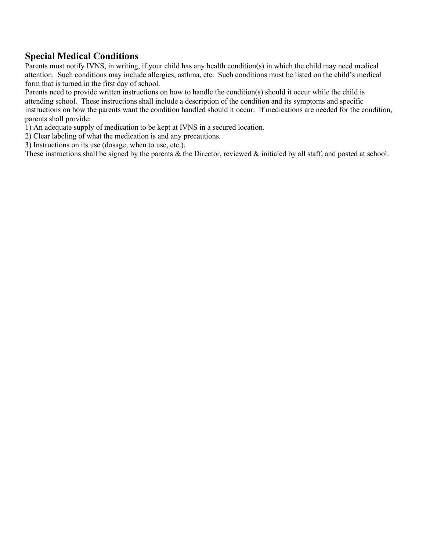# **Special Medical Conditions**

Parents must notify IVNS, in writing, if your child has any health condition(s) in which the child may need medical attention. Such conditions may include allergies, asthma, etc. Such conditions must be listed on the child's medical form that is turned in the first day of school.

Parents need to provide written instructions on how to handle the condition(s) should it occur while the child is attending school. These instructions shall include a description of the condition and its symptoms and specific instructions on how the parents want the condition handled should it occur. If medications are needed for the condition, parents shall provide:

1) An adequate supply of medication to be kept at IVNS in a secured location.

2) Clear labeling of what the medication is and any precautions.

3) Instructions on its use (dosage, when to use, etc.).

These instructions shall be signed by the parents & the Director, reviewed & initialed by all staff, and posted at school.